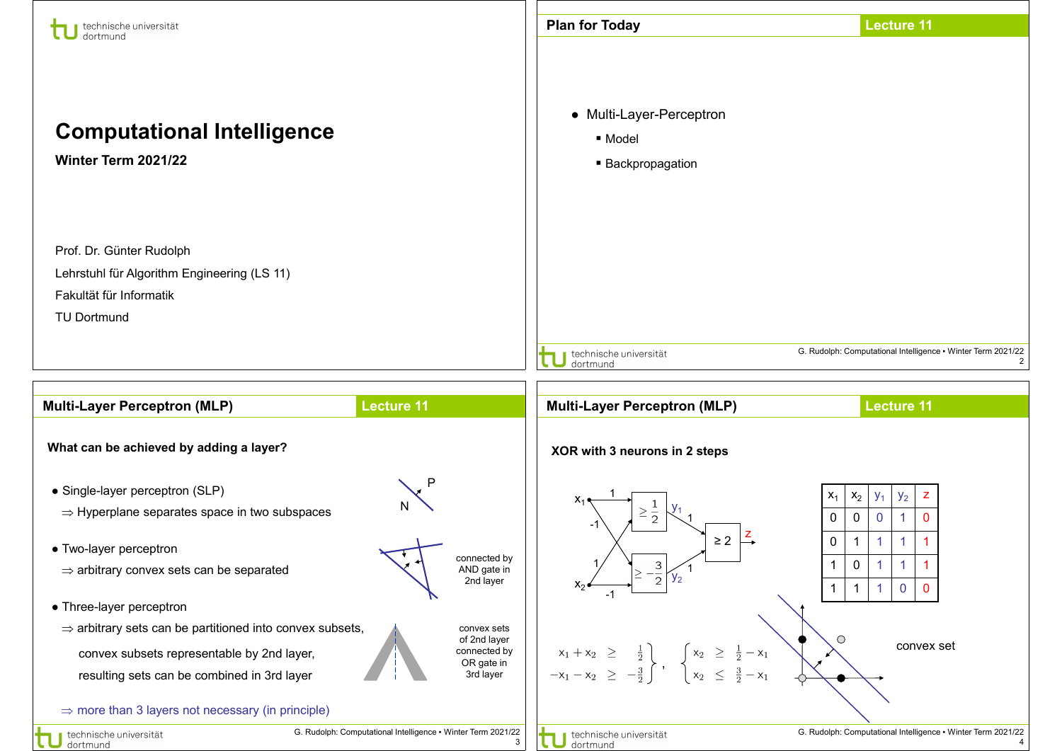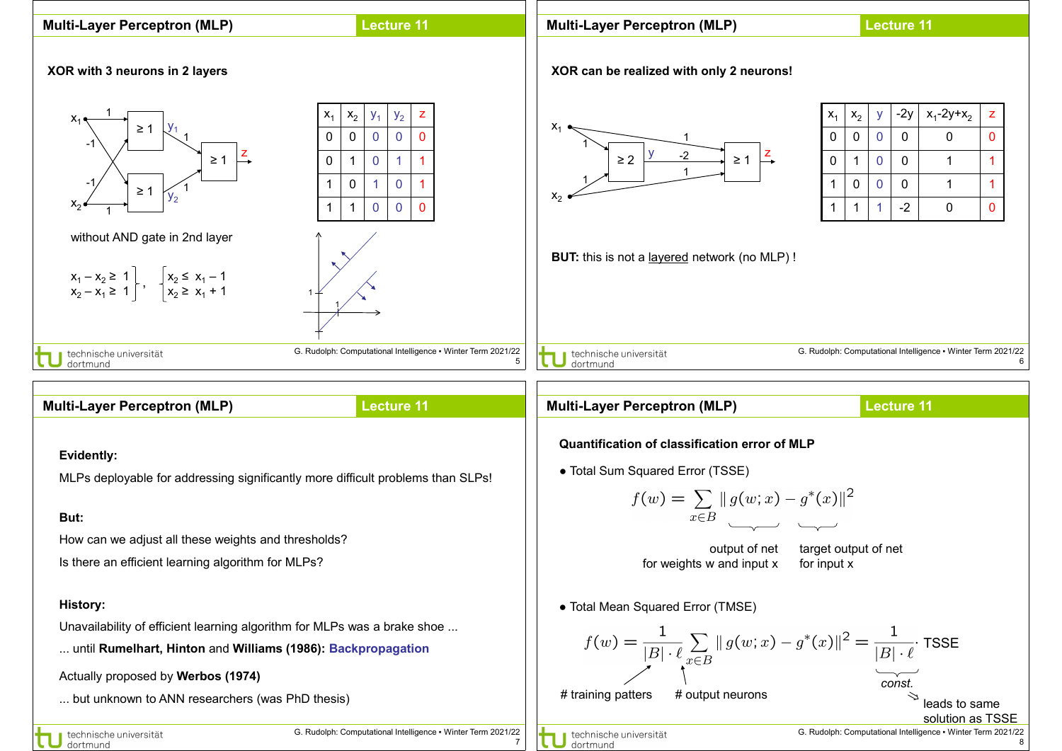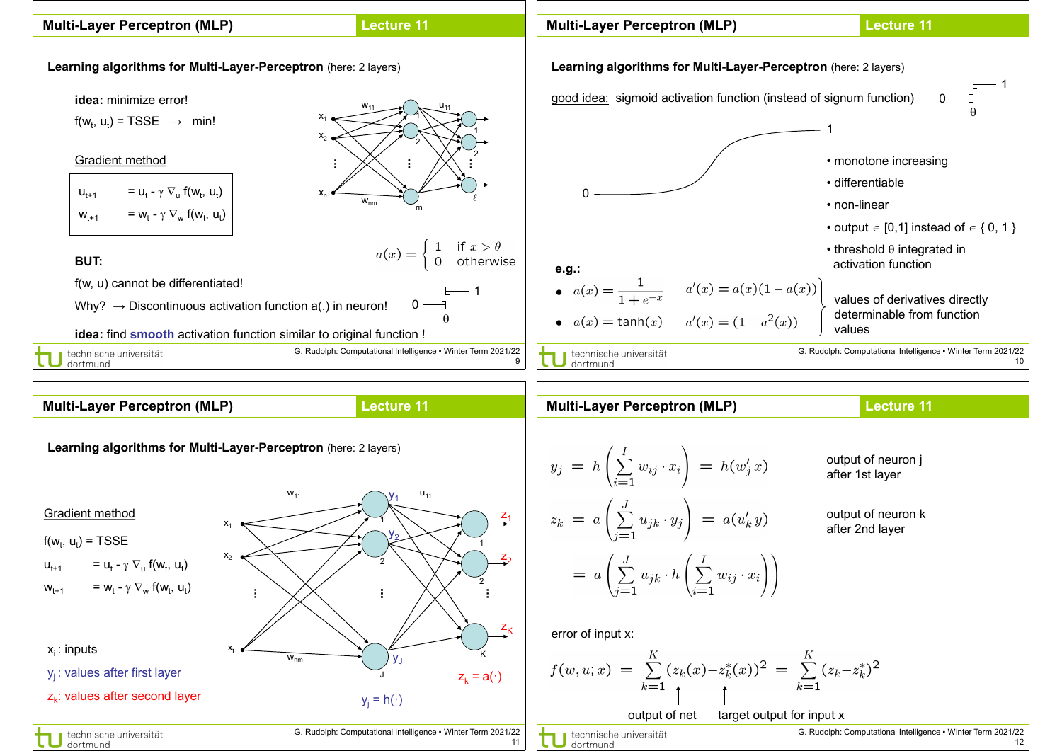

 $z_k$ : values after second layer

technische universität dortmund

G. Rudolph: Computational Intelligence ▪ Winter Term 2021/22 11

 $y_i = h(\cdot)$ 

dortmund

G. Rudolph: Computational Intelligence ▪ Winter Term 2021/22 output of net target output for input x<br> **U** dortmund<br>
dortmund

12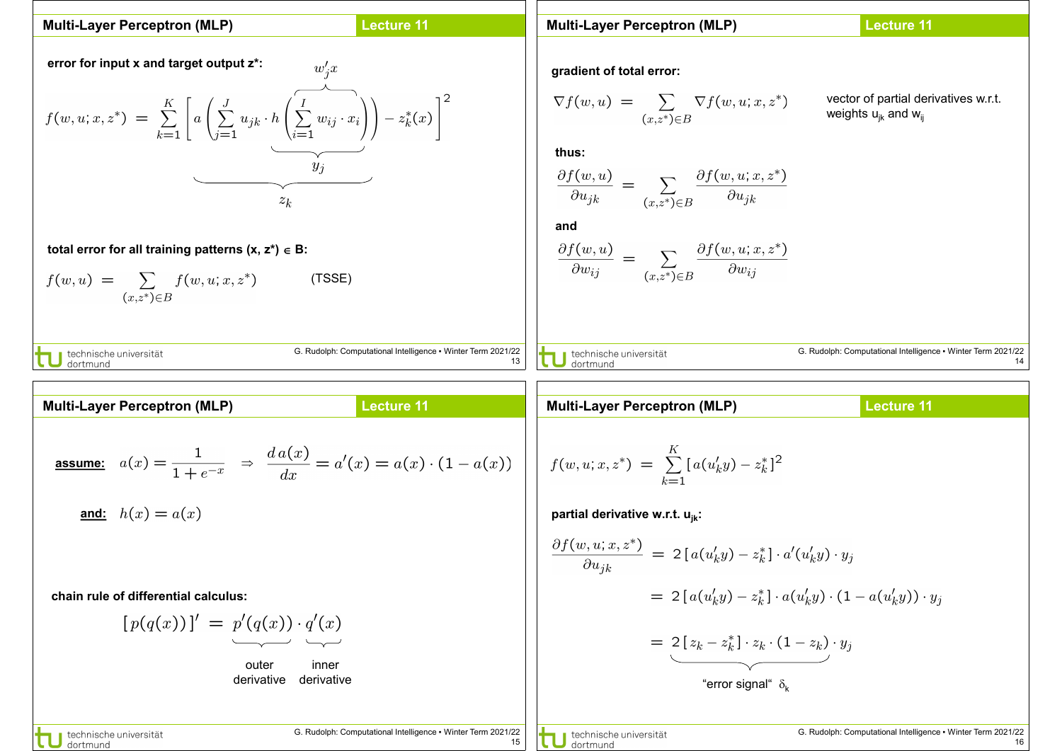| Multi-Layer Perceptron (MLP)                         | Lecturo 11 |           |           |           |           |           |           |           |           |           |           |           |           |           |           |           |           |           |           |           |           |           |           |           |           |           |           |           |           |           |           |           |           |           |           |           |           |           |           |           |           |           |           |           |           |           |           |
|------------------------------------------------------|------------|-----------|-----------|-----------|-----------|-----------|-----------|-----------|-----------|-----------|-----------|-----------|-----------|-----------|-----------|-----------|-----------|-----------|-----------|-----------|-----------|-----------|-----------|-----------|-----------|-----------|-----------|-----------|-----------|-----------|-----------|-----------|-----------|-----------|-----------|-----------|-----------|-----------|-----------|-----------|-----------|-----------|-----------|-----------|-----------|-----------|-----------|
| error for input x and target output z <sup>*</sup> ; | $u'_{3x}$  | $u'_{3x}$ | $u'_{3x}$ | $u'_{3x}$ | $u'_{3x}$ | $u'_{3x}$ | $u'_{3x}$ | $u'_{3x}$ | $u'_{3x}$ | $u'_{3x}$ | $u'_{3x}$ | $u'_{3x}$ | $u'_{3x}$ | $u'_{3x}$ | $u'_{3x}$ | $u'_{3x}$ | $u'_{3x}$ | $u'_{3x}$ | $u'_{3x}$ | $u'_{3x}$ | $u'_{3x}$ | $u'_{3x}$ | $u'_{3x}$ | $u'_{3x}$ | $u'_{3x}$ | $u'_{3x}$ | $u'_{3x}$ | $u'_{3x}$ | $u'_{3x}$ | $u'_{3x}$ | $u'_{3x}$ | $u'_{3x}$ | $u'_{3x}$ | $u'_{3x}$ | $u'_{3x}$ | $u'_{3x}$ | $u'_{3x}$ | $u'_{3x}$ | $u'_{3x}$ | $u'_{3x}$ | $u'_{3x}$ | $u'_{3x}$ | $u'_{3x}$ | $u'_{3x}$ | $u'_{3x}$ | $u'_{3x}$ | $u'_{3x}$ |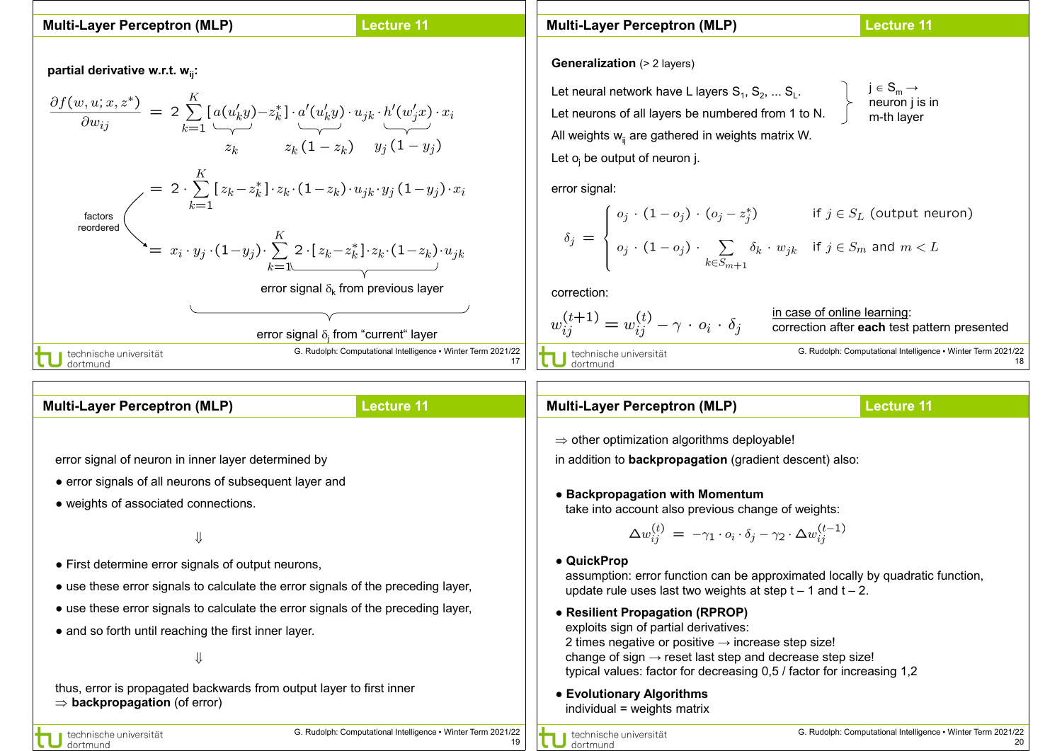## **Lecture 11**

partial derivative w.r.t. w<sub>ii</sub>:



**Multi-Layer Perceptron (MLP) Lecture 11 Multi-Layer Perceptron (MLP) Generalization** (> 2 layers)  $j \in S_m \rightarrow$ Let neural network have L layers  $\mathbf{S}_1,$   $\mathbf{S}_2,$  ...  $\mathbf{S}_{\mathsf{L}}.$ neuron j is in Let neurons of all layers be numbered from 1 to N. m-th layer All weights  $w_{ii}$  are gathered in weights matrix W. Let  $o_i$  be output of neuron j. error signal:  $\delta_j = \begin{cases} o_j \cdot (1 - o_j) \cdot (o_j - z_j^*) & \text{if } j \in S_L \text{ (output neuron)} \\ o_j \cdot (1 - o_j) \cdot \sum\limits_{k \in S_{m+1}} \delta_k \cdot w_{jk} & \text{if } j \in S_m \text{ and } m < L \end{cases}$ correction: in case of online learning:  $w_{ij}^{(t+1)} = w_{ij}^{(t)} - \gamma \cdot o_i \cdot \delta_j$ correction after **each** test pattern presented

U technische universität<br>U dortmund

G. Rudolph: Computational Intelligence ▪ Winter Term 2021/22 18

| <b>Multi-Layer Perceptron (MLP)</b>                                                                              | <b>Lecture 11</b>                                            | <b>Multi-Layer Perceptron (MLP)</b>                                                                                                                                                                                | <b>Lecture 11</b>                                            |
|------------------------------------------------------------------------------------------------------------------|--------------------------------------------------------------|--------------------------------------------------------------------------------------------------------------------------------------------------------------------------------------------------------------------|--------------------------------------------------------------|
|                                                                                                                  |                                                              | $\Rightarrow$ other optimization algorithms deployable!                                                                                                                                                            |                                                              |
| error signal of neuron in inner layer determined by                                                              |                                                              | in addition to <b>backpropagation</b> (gradient descent) also:                                                                                                                                                     |                                                              |
| • error signals of all neurons of subsequent layer and                                                           |                                                              |                                                                                                                                                                                                                    |                                                              |
| • weights of associated connections.                                                                             |                                                              | • Backpropagation with Momentum<br>take into account also previous change of weights:                                                                                                                              |                                                              |
|                                                                                                                  |                                                              | $\Delta w_{ij}^{(t)} = -\gamma_1 \cdot o_i \cdot \delta_j - \gamma_2 \cdot \Delta w_{ij}^{(t-1)}$                                                                                                                  |                                                              |
| • First determine error signals of output neurons,                                                               |                                                              | • QuickProp<br>assumption: error function can be approximated locally by quadratic function,<br>update rule uses last two weights at step $t - 1$ and $t - 2$ .                                                    |                                                              |
| • use these error signals to calculate the error signals of the preceding layer,                                 |                                                              |                                                                                                                                                                                                                    |                                                              |
| • use these error signals to calculate the error signals of the preceding layer,                                 |                                                              | • Resilient Propagation (RPROP)<br>exploits sign of partial derivatives:<br>2 times negative or positive $\rightarrow$ increase step size!<br>change of sign $\rightarrow$ reset last step and decrease step size! |                                                              |
| • and so forth until reaching the first inner layer.                                                             |                                                              |                                                                                                                                                                                                                    |                                                              |
|                                                                                                                  |                                                              |                                                                                                                                                                                                                    |                                                              |
|                                                                                                                  |                                                              | typical values: factor for decreasing 0,5 / factor for increasing 1,2                                                                                                                                              |                                                              |
| thus, error is propagated backwards from output layer to first inner<br>$\Rightarrow$ backpropagation (of error) |                                                              | • Evolutionary Algorithms<br>individual = weights matrix                                                                                                                                                           |                                                              |
| technische universität<br>dortmund                                                                               | G. Rudolph: Computational Intelligence • Winter Term 2021/22 | technische universität<br>dortmund                                                                                                                                                                                 | G. Rudolph: Computational Intelligence • Winter Term 2021/22 |

17